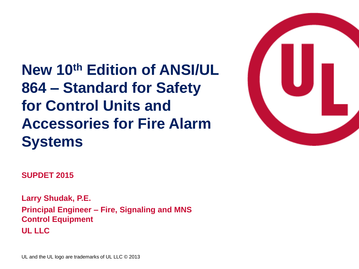**New 10th Edition of ANSI/UL 864 – Standard for Safety for Control Units and Accessories for Fire Alarm Systems**



**SUPDET 2015**

**Larry Shudak, P.E. Principal Engineer – Fire, Signaling and MNS Control Equipment UL LLC**

UL and the UL logo are trademarks of UL LLC © 2013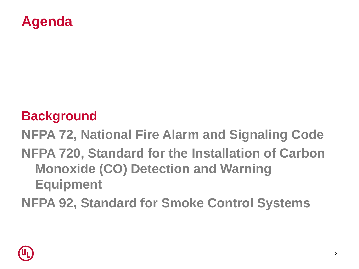#### **Agenda**

#### **Background**

**NFPA 72, National Fire Alarm and Signaling Code NFPA 720, Standard for the Installation of Carbon** 

**Monoxide (CO) Detection and Warning Equipment**

**NFPA 92, Standard for Smoke Control Systems**

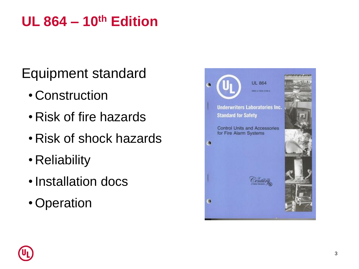#### **UL 864 – 10th Edition**

Equipment standard

- Construction
- Risk of fire hazards
- Risk of shock hazards
- Reliability
- •Installation docs
- Operation



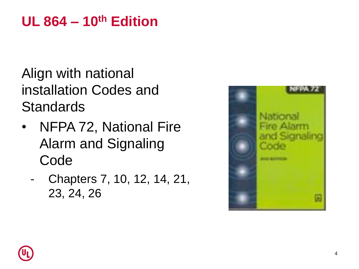#### **UL 864 – 10th Edition**

Align with national installation Codes and **Standards** 

- NFPA 72, National Fire Alarm and Signaling Code
	- Chapters 7, 10, 12, 14, 21, 23, 24, 26



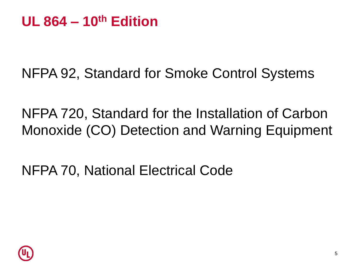NFPA 92, Standard for Smoke Control Systems

NFPA 720, Standard for the Installation of Carbon Monoxide (CO) Detection and Warning Equipment

NFPA 70, National Electrical Code

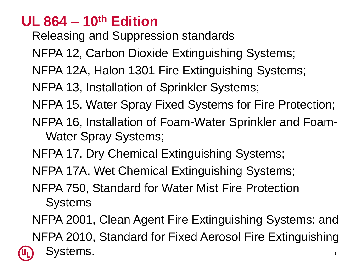#### **UL 864 – 10th Edition**

Releasing and Suppression standards

NFPA 12, Carbon Dioxide Extinguishing Systems;

NFPA 12A, Halon 1301 Fire Extinguishing Systems;

NFPA 13, Installation of Sprinkler Systems;

NFPA 15, Water Spray Fixed Systems for Fire Protection;

- NFPA 16, Installation of Foam-Water Sprinkler and Foam-Water Spray Systems;
- NFPA 17, Dry Chemical Extinguishing Systems;
- NFPA 17A, Wet Chemical Extinguishing Systems;
- NFPA 750, Standard for Water Mist Fire Protection **Systems**

NFPA 2001, Clean Agent Fire Extinguishing Systems; and NFPA 2010, Standard for Fixed Aerosol Fire Extinguishing Systems.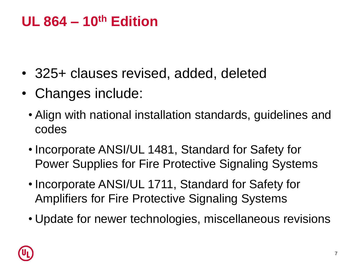#### **UL 864 – 10th Edition**

- 325+ clauses revised, added, deleted
- Changes include:
	- Align with national installation standards, guidelines and codes
	- Incorporate ANSI/UL 1481, Standard for Safety for Power Supplies for Fire Protective Signaling Systems
	- Incorporate ANSI/UL 1711, Standard for Safety for Amplifiers for Fire Protective Signaling Systems
	- Update for newer technologies, miscellaneous revisions

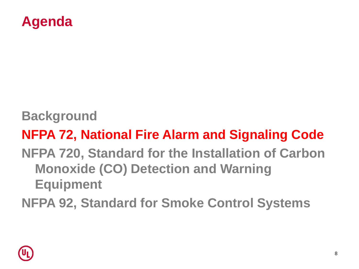

**Background**

#### **NFPA 72, National Fire Alarm and Signaling Code**

#### **NFPA 720, Standard for the Installation of Carbon Monoxide (CO) Detection and Warning Equipment**

**NFPA 92, Standard for Smoke Control Systems**

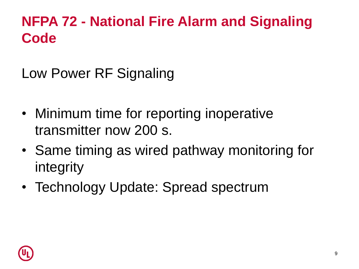Low Power RF Signaling

- Minimum time for reporting inoperative transmitter now 200 s.
- Same timing as wired pathway monitoring for integrity
- Technology Update: Spread spectrum

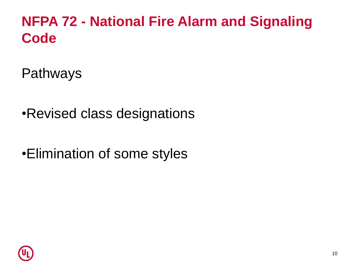Pathways

•Revised class designations

•Elimination of some styles

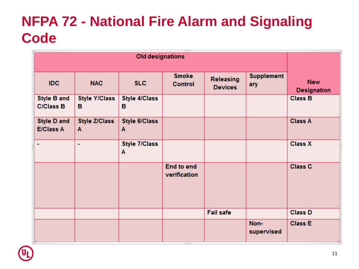| 3333<br><b>Old designations</b> |  |                           |                           |                                |                             |                          |                                  |
|---------------------------------|--|---------------------------|---------------------------|--------------------------------|-----------------------------|--------------------------|----------------------------------|
| IDC.                            |  | <b>NAC</b>                | <b>SLC</b>                | <b>Smoke</b><br><b>Control</b> | Releasing<br><b>Devices</b> | <b>Supplement</b><br>ary | <b>New</b><br><b>Designation</b> |
| Style B and<br><b>C/Class B</b> |  | <b>Style Y/Class</b><br>в | <b>Style 4/Class</b><br>в |                                |                             |                          | <b>Class B</b>                   |
| Style D and<br><b>E/Class A</b> |  | <b>Style Z/Class</b><br>A | <b>Style 6/Class</b><br>A |                                |                             |                          | <b>Class A</b>                   |
| ۰                               |  | ۰                         | <b>Style 7/Class</b><br>Α |                                |                             |                          | <b>Class X</b>                   |
|                                 |  |                           |                           | End to end<br>verification     |                             |                          | Class C                          |
|                                 |  |                           |                           |                                | <b>Fail safe</b>            |                          | <b>Class D</b>                   |
|                                 |  |                           |                           |                                |                             | Non-<br>supervised       | <b>Class E</b>                   |

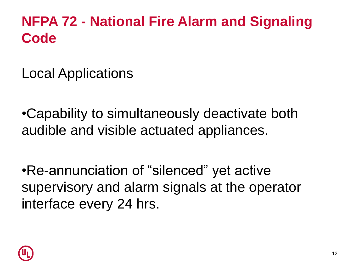Local Applications

•Capability to simultaneously deactivate both audible and visible actuated appliances.

•Re-annunciation of "silenced" yet active supervisory and alarm signals at the operator interface every 24 hrs.

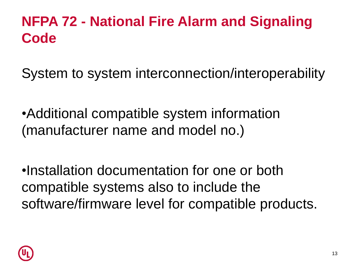System to system interconnection/interoperability

•Additional compatible system information (manufacturer name and model no.)

•Installation documentation for one or both compatible systems also to include the software/firmware level for compatible products.

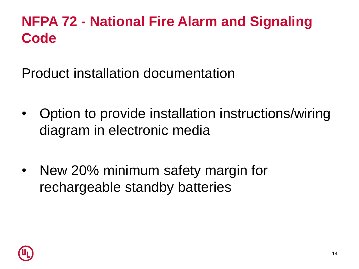Product installation documentation

- Option to provide installation instructions/wiring diagram in electronic media
- New 20% minimum safety margin for rechargeable standby batteries

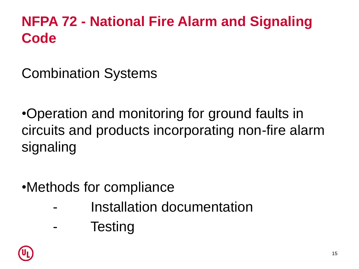Combination Systems

•Operation and monitoring for ground faults in circuits and products incorporating non-fire alarm signaling

- •Methods for compliance
	- Installation documentation
	- **Testing**

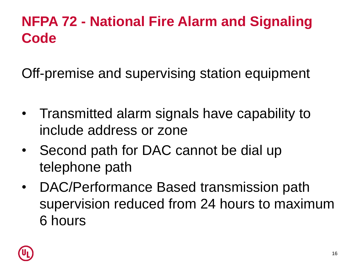Off-premise and supervising station equipment

- Transmitted alarm signals have capability to include address or zone
- Second path for DAC cannot be dial up telephone path
- DAC/Performance Based transmission path supervision reduced from 24 hours to maximum 6 hours

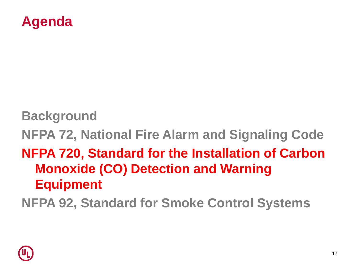

**Background NFPA 72, National Fire Alarm and Signaling Code NFPA 720, Standard for the Installation of Carbon Monoxide (CO) Detection and Warning Equipment**

**NFPA 92, Standard for Smoke Control Systems**

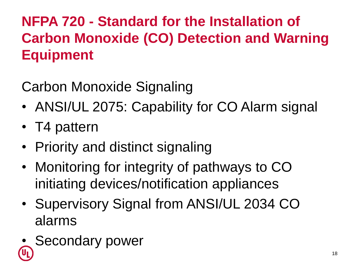# **NFPA 720 - Standard for the Installation of Carbon Monoxide (CO) Detection and Warning Equipment**

Carbon Monoxide Signaling

- ANSI/UL 2075: Capability for CO Alarm signal
- T4 pattern
- Priority and distinct signaling
- Monitoring for integrity of pathways to CO initiating devices/notification appliances
- Supervisory Signal from ANSI/UL 2034 CO alarms
- Secondary power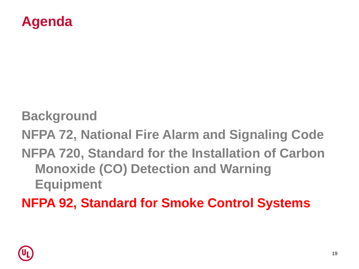

**Background**

**NFPA 72, National Fire Alarm and Signaling Code**

**NFPA 720, Standard for the Installation of Carbon Monoxide (CO) Detection and Warning Equipment**

**NFPA 92, Standard for Smoke Control Systems**

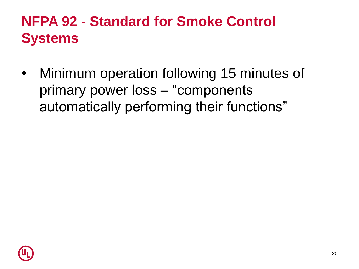#### **NFPA 92 - Standard for Smoke Control Systems**

• Minimum operation following 15 minutes of primary power loss – "components automatically performing their functions"